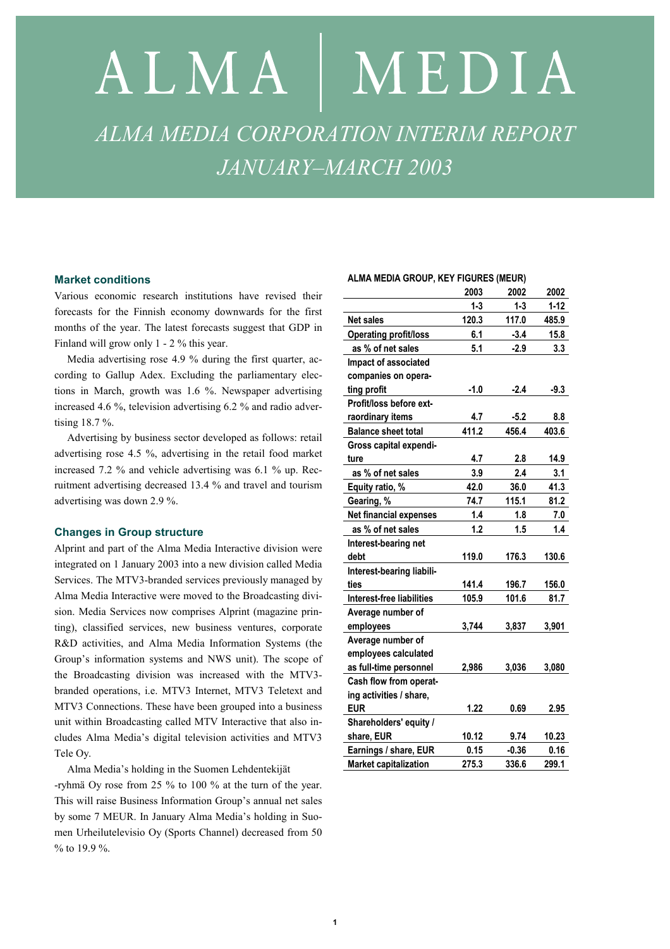# ALMA | MEDIA *ALMA MEDIA CORPORATION INTERIM REPORT JANUARY–MARCH 2003*

#### **Market conditions**

Various economic research institutions have revised their forecasts for the Finnish economy downwards for the first months of the year. The latest forecasts suggest that GDP in Finland will grow only 1 - 2 % this year.

Media advertising rose 4.9 % during the first quarter, according to Gallup Adex. Excluding the parliamentary elections in March, growth was 1.6 %. Newspaper advertising increased 4.6 %, television advertising 6.2 % and radio advertising 18.7 %.

Advertising by business sector developed as follows: retail advertising rose 4.5 %, advertising in the retail food market increased 7.2 % and vehicle advertising was 6.1 % up. Recruitment advertising decreased 13.4 % and travel and tourism advertising was down 2.9 %.

#### **Changes in Group structure**

Alprint and part of the Alma Media Interactive division were integrated on 1 January 2003 into a new division called Media Services. The MTV3-branded services previously managed by Alma Media Interactive were moved to the Broadcasting division. Media Services now comprises Alprint (magazine printing), classified services, new business ventures, corporate R&D activities, and Alma Media Information Systems (the Group's information systems and NWS unit). The scope of the Broadcasting division was increased with the MTV3 branded operations, i.e. MTV3 Internet, MTV3 Teletext and MTV3 Connections. These have been grouped into a business unit within Broadcasting called MTV Interactive that also includes Alma Media's digital television activities and MTV3 Tele Oy.

Alma Media's holding in the Suomen Lehdentekijät

-ryhmä Oy rose from 25 % to 100 % at the turn of the year. This will raise Business Information Group's annual net sales by some 7 MEUR. In January Alma Media's holding in Suomen Urheilutelevisio Oy (Sports Channel) decreased from 50 % to 19.9 %.

#### **ALMA MEDIA GROUP, KEY FIGURES (MEUR)**

|                              | 2003    | 2002    | 2002     |
|------------------------------|---------|---------|----------|
|                              | $1 - 3$ | $1 - 3$ | $1 - 12$ |
| <b>Net sales</b>             | 120.3   | 117.0   | 485.9    |
| <b>Operating profit/loss</b> | 6.1     | $-3.4$  | 15.8     |
| as % of net sales            | 5.1     | $-2.9$  | 3.3      |
| Impact of associated         |         |         |          |
| companies on opera-          |         |         |          |
| ting profit                  | $-1.0$  | $-2.4$  | $-9.3$   |
| Profit/loss before ext-      |         |         |          |
| raordinary items             | 4.7     | $-5.2$  | 8.8      |
| <b>Balance sheet total</b>   | 411.2   | 456.4   | 403.6    |
| Gross capital expendi-       |         |         |          |
| ture                         | 4.7     | 2.8     | 14.9     |
| as % of net sales            | 3.9     | 2.4     | 3.1      |
| Equity ratio, %              | 42.0    | 36.0    | 41.3     |
| Gearing, %                   | 74.7    | 115.1   | 81.2     |
| Net financial expenses       | 1.4     | 1.8     | 7.0      |
| as % of net sales            | 1.2     | 1.5     | 1.4      |
| Interest-bearing net         |         |         |          |
| debt                         | 119.0   | 176.3   | 130.6    |
| Interest-bearing liabili-    |         |         |          |
| ties                         | 141.4   | 196.7   | 156.0    |
| Interest-free liabilities    | 105.9   | 101.6   | 81.7     |
| Average number of            |         |         |          |
| employees                    | 3,744   | 3,837   | 3,901    |
| Average number of            |         |         |          |
| employees calculated         |         |         |          |
| as full-time personnel       | 2,986   | 3,036   | 3,080    |
| Cash flow from operat-       |         |         |          |
| ing activities / share,      |         |         |          |
| <b>EUR</b>                   | 1.22    | 0.69    | 2.95     |
| Shareholders' equity /       |         |         |          |
| share, EUR                   | 10.12   | 9.74    | 10.23    |
| Earnings / share, EUR        | 0.15    | $-0.36$ | 0.16     |
| <b>Market capitalization</b> | 275.3   | 336.6   | 299.1    |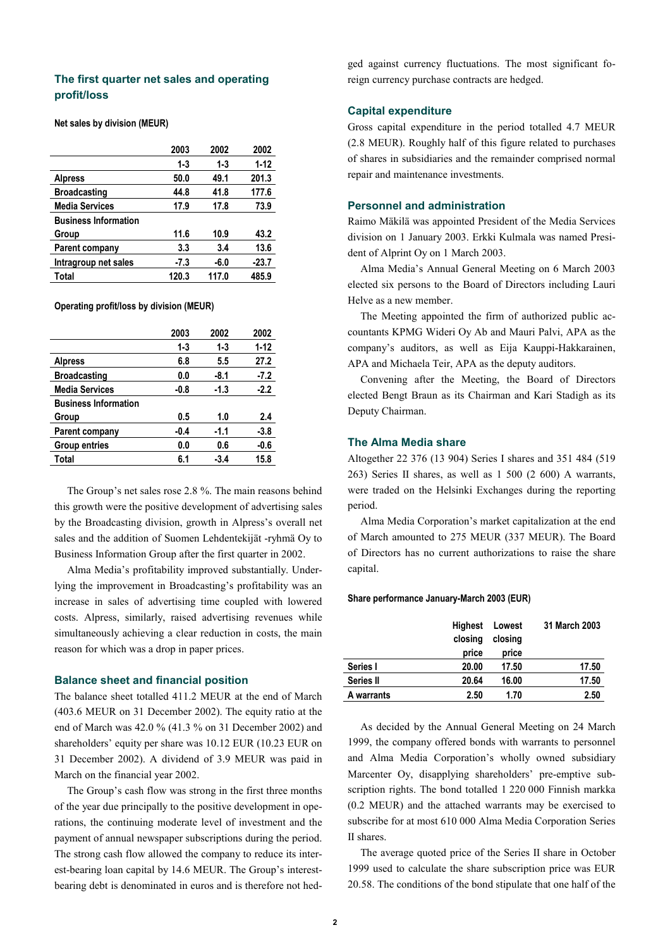## **The first quarter net sales and operating profit/loss**

#### **Net sales by division (MEUR)**

|                             | 2003    | 2002    | 2002     |
|-----------------------------|---------|---------|----------|
|                             | $1 - 3$ | $1 - 3$ | $1 - 12$ |
| <b>Alpress</b>              | 50.0    | 49.1    | 201.3    |
| <b>Broadcasting</b>         | 44.8    | 41.8    | 177.6    |
| <b>Media Services</b>       | 17.9    | 17.8    | 73.9     |
| <b>Business Information</b> |         |         |          |
| Group                       | 11.6    | 10.9    | 43.2     |
| Parent company              | 3.3     | 3.4     | 13.6     |
| Intragroup net sales        | -7.3    | -6.0    | $-23.7$  |
| Total                       | 120.3   | 117.0   | 485.9    |

**Operating profit/loss by division (MEUR)** 

|                             | 2003    | 2002   | 2002     |
|-----------------------------|---------|--------|----------|
|                             | $1 - 3$ | 1-3    | $1 - 12$ |
| <b>Alpress</b>              | 6.8     | 5.5    | 27.2     |
| <b>Broadcasting</b>         | 0.0     | -8.1   | $-7.2$   |
| <b>Media Services</b>       | -0.8    | $-1.3$ | $-2.2$   |
| <b>Business Information</b> |         |        |          |
| Group                       | 0.5     | 1.0    | 2.4      |
| Parent company              | $-0.4$  | $-1.1$ | $-3.8$   |
| <b>Group entries</b>        | 0.0     | 0.6    | $-0.6$   |
| Total                       | 6.1     | $-3.4$ | 15.8     |

The Group's net sales rose 2.8 %. The main reasons behind this growth were the positive development of advertising sales by the Broadcasting division, growth in Alpress's overall net sales and the addition of Suomen Lehdentekijät -ryhmä Oy to Business Information Group after the first quarter in 2002.

Alma Media's profitability improved substantially. Underlying the improvement in Broadcasting's profitability was an increase in sales of advertising time coupled with lowered costs. Alpress, similarly, raised advertising revenues while simultaneously achieving a clear reduction in costs, the main reason for which was a drop in paper prices.

#### **Balance sheet and financial position**

The balance sheet totalled 411.2 MEUR at the end of March (403.6 MEUR on 31 December 2002). The equity ratio at the end of March was 42.0 % (41.3 % on 31 December 2002) and shareholders' equity per share was 10.12 EUR (10.23 EUR on 31 December 2002). A dividend of 3.9 MEUR was paid in March on the financial year 2002.

The Group's cash flow was strong in the first three months of the year due principally to the positive development in operations, the continuing moderate level of investment and the payment of annual newspaper subscriptions during the period. The strong cash flow allowed the company to reduce its interest-bearing loan capital by 14.6 MEUR. The Group's interestbearing debt is denominated in euros and is therefore not hedged against currency fluctuations. The most significant foreign currency purchase contracts are hedged.

## **Capital expenditure**

Gross capital expenditure in the period totalled 4.7 MEUR (2.8 MEUR). Roughly half of this figure related to purchases of shares in subsidiaries and the remainder comprised normal repair and maintenance investments.

#### **Personnel and administration**

Raimo Mäkilä was appointed President of the Media Services division on 1 January 2003. Erkki Kulmala was named President of Alprint Oy on 1 March 2003.

Alma Media's Annual General Meeting on 6 March 2003 elected six persons to the Board of Directors including Lauri Helve as a new member.

The Meeting appointed the firm of authorized public accountants KPMG Wideri Oy Ab and Mauri Palvi, APA as the company's auditors, as well as Eija Kauppi-Hakkarainen, APA and Michaela Teir, APA as the deputy auditors.

Convening after the Meeting, the Board of Directors elected Bengt Braun as its Chairman and Kari Stadigh as its Deputy Chairman.

#### **The Alma Media share**

Altogether 22 376 (13 904) Series I shares and 351 484 (519 263) Series II shares, as well as 1 500 (2 600) A warrants, were traded on the Helsinki Exchanges during the reporting period.

Alma Media Corporation's market capitalization at the end of March amounted to 275 MEUR (337 MEUR). The Board of Directors has no current authorizations to raise the share capital.

#### **Share performance January-March 2003 (EUR)**

|            | Highest<br>closing<br>price | Lowest<br>closing<br>price | 31 March 2003 |
|------------|-----------------------------|----------------------------|---------------|
| Series I   | 20.00                       | 17.50                      | 17.50         |
| Series II  | 20.64                       | 16.00                      | 17.50         |
| A warrants | 2.50                        | 1.70                       | 2.50          |

As decided by the Annual General Meeting on 24 March 1999, the company offered bonds with warrants to personnel and Alma Media Corporation's wholly owned subsidiary Marcenter Oy, disapplying shareholders' pre-emptive subscription rights. The bond totalled 1 220 000 Finnish markka (0.2 MEUR) and the attached warrants may be exercised to subscribe for at most 610 000 Alma Media Corporation Series II shares.

The average quoted price of the Series II share in October 1999 used to calculate the share subscription price was EUR 20.58. The conditions of the bond stipulate that one half of the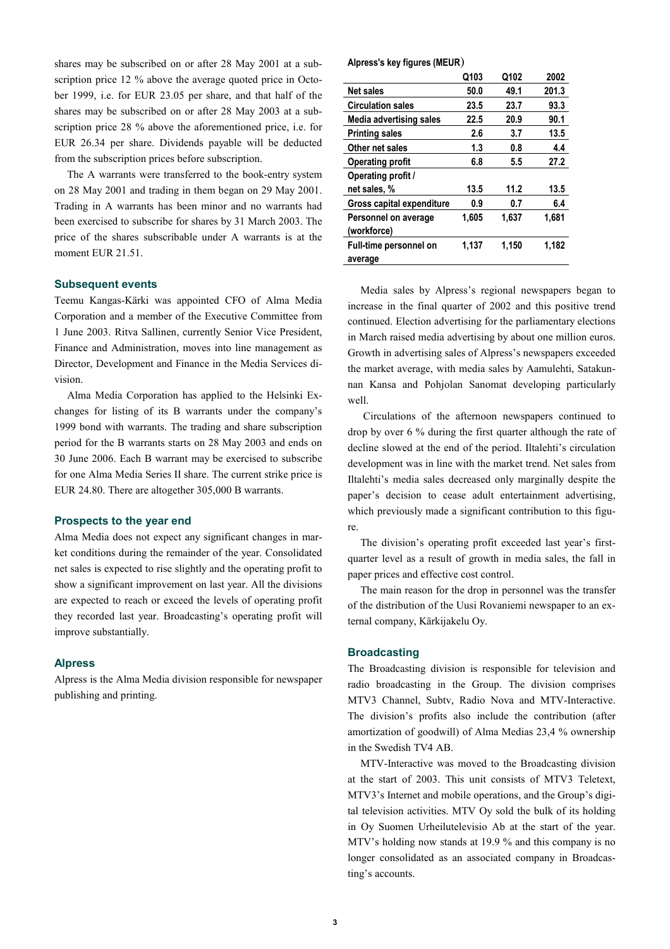shares may be subscribed on or after 28 May 2001 at a subscription price 12 % above the average quoted price in October 1999, i.e. for EUR 23.05 per share, and that half of the shares may be subscribed on or after 28 May 2003 at a subscription price 28 % above the aforementioned price, i.e. for EUR 26.34 per share. Dividends payable will be deducted from the subscription prices before subscription.

The A warrants were transferred to the book-entry system on 28 May 2001 and trading in them began on 29 May 2001. Trading in A warrants has been minor and no warrants had been exercised to subscribe for shares by 31 March 2003. The price of the shares subscribable under A warrants is at the moment EUR 21.51.

#### **Subsequent events**

Teemu Kangas-Kärki was appointed CFO of Alma Media Corporation and a member of the Executive Committee from 1 June 2003. Ritva Sallinen, currently Senior Vice President, Finance and Administration, moves into line management as Director, Development and Finance in the Media Services division.

Alma Media Corporation has applied to the Helsinki Exchanges for listing of its B warrants under the company's 1999 bond with warrants. The trading and share subscription period for the B warrants starts on 28 May 2003 and ends on 30 June 2006. Each B warrant may be exercised to subscribe for one Alma Media Series II share. The current strike price is EUR 24.80. There are altogether 305,000 B warrants.

#### **Prospects to the year end**

Alma Media does not expect any significant changes in market conditions during the remainder of the year. Consolidated net sales is expected to rise slightly and the operating profit to show a significant improvement on last year. All the divisions are expected to reach or exceed the levels of operating profit they recorded last year. Broadcasting's operating profit will improve substantially.

#### **Alpress**

Alpress is the Alma Media division responsible for newspaper publishing and printing.

#### **Alpress's key figures (MEUR**)

|                               | Q103  | Q102  | 2002  |
|-------------------------------|-------|-------|-------|
| <b>Net sales</b>              | 50.0  | 49.1  | 201.3 |
| <b>Circulation sales</b>      | 23.5  | 23.7  | 93.3  |
| Media advertising sales       | 22.5  | 20.9  | 90.1  |
| <b>Printing sales</b>         | 2.6   | 3.7   | 13.5  |
| Other net sales               | 1.3   | 0.8   | 4.4   |
| <b>Operating profit</b>       | 6.8   | 5.5   | 27.2  |
| Operating profit /            |       |       |       |
| net sales, %                  | 13.5  | 11.2  | 13.5  |
| Gross capital expenditure     | 0.9   | 0.7   | 6.4   |
| Personnel on average          | 1,605 | 1,637 | 1.681 |
| (workforce)                   |       |       |       |
| <b>Full-time personnel on</b> | 1,137 | 1,150 | 1,182 |
| average                       |       |       |       |

Media sales by Alpress's regional newspapers began to increase in the final quarter of 2002 and this positive trend continued. Election advertising for the parliamentary elections in March raised media advertising by about one million euros. Growth in advertising sales of Alpress's newspapers exceeded the market average, with media sales by Aamulehti, Satakunnan Kansa and Pohjolan Sanomat developing particularly well.

 Circulations of the afternoon newspapers continued to drop by over 6 % during the first quarter although the rate of decline slowed at the end of the period. Iltalehti's circulation development was in line with the market trend. Net sales from Iltalehti's media sales decreased only marginally despite the paper's decision to cease adult entertainment advertising, which previously made a significant contribution to this figure.

The division's operating profit exceeded last year's firstquarter level as a result of growth in media sales, the fall in paper prices and effective cost control.

The main reason for the drop in personnel was the transfer of the distribution of the Uusi Rovaniemi newspaper to an external company, Kärkijakelu Oy.

#### **Broadcasting**

The Broadcasting division is responsible for television and radio broadcasting in the Group. The division comprises MTV3 Channel, Subtv, Radio Nova and MTV-Interactive. The division's profits also include the contribution (after amortization of goodwill) of Alma Medias 23,4 % ownership in the Swedish TV4 AB.

MTV-Interactive was moved to the Broadcasting division at the start of 2003. This unit consists of MTV3 Teletext, MTV3's Internet and mobile operations, and the Group's digital television activities. MTV Oy sold the bulk of its holding in Oy Suomen Urheilutelevisio Ab at the start of the year. MTV's holding now stands at 19.9 % and this company is no longer consolidated as an associated company in Broadcasting's accounts.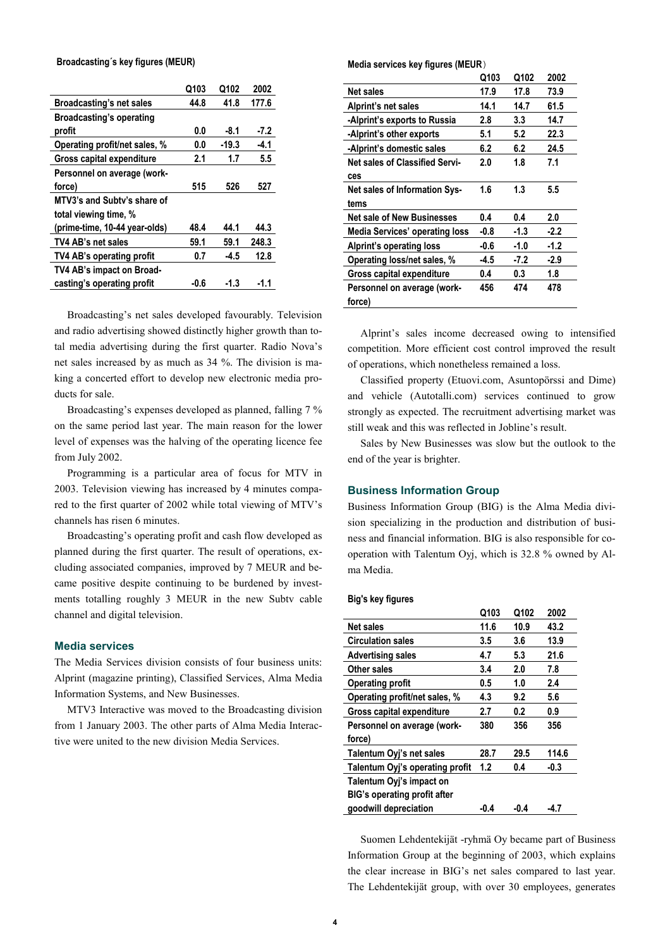#### **Broadcasting´s key figures (MEUR)**

|                               | Q103 | Q102    | 2002   |
|-------------------------------|------|---------|--------|
| Broadcasting's net sales      | 44.8 | 41.8    | 177.6  |
| Broadcasting's operating      |      |         |        |
| profit                        | 0.0  | -8.1    | $-7.2$ |
| Operating profit/net sales, % | 0.0  | $-19.3$ | $-4.1$ |
| Gross capital expenditure     | 2.1  | 1.7     | 5.5    |
| Personnel on average (work-   |      |         |        |
| force)                        | 515  | 526     | 527    |
| MTV3's and Subty's share of   |      |         |        |
| total viewing time, %         |      |         |        |
| (prime-time, 10-44 year-olds) | 48.4 | 44.1    | 44.3   |
| TV4 AB's net sales            | 59.1 | 59.1    | 248.3  |
| TV4 AB's operating profit     | 0.7  | $-4.5$  | 12.8   |
| TV4 AB's impact on Broad-     |      |         |        |
| casting's operating profit    | -0.6 | -1.3    | -1.1   |

Broadcasting's net sales developed favourably. Television and radio advertising showed distinctly higher growth than total media advertising during the first quarter. Radio Nova's net sales increased by as much as 34 %. The division is making a concerted effort to develop new electronic media products for sale.

Broadcasting's expenses developed as planned, falling 7 % on the same period last year. The main reason for the lower level of expenses was the halving of the operating licence fee from July 2002.

Programming is a particular area of focus for MTV in 2003. Television viewing has increased by 4 minutes compared to the first quarter of 2002 while total viewing of MTV's channels has risen 6 minutes.

Broadcasting's operating profit and cash flow developed as planned during the first quarter. The result of operations, excluding associated companies, improved by 7 MEUR and became positive despite continuing to be burdened by investments totalling roughly 3 MEUR in the new Subtv cable channel and digital television.

#### **Media services**

The Media Services division consists of four business units: Alprint (magazine printing), Classified Services, Alma Media Information Systems, and New Businesses.

MTV3 Interactive was moved to the Broadcasting division from 1 January 2003. The other parts of Alma Media Interactive were united to the new division Media Services.

**Media services key figures (MEUR**)

|                                       | Q103 | Q102   | 2002   |
|---------------------------------------|------|--------|--------|
| Net sales                             | 17.9 | 17.8   | 73.9   |
| Alprint's net sales                   | 14.1 | 14.7   | 61.5   |
| -Alprint's exports to Russia          | 2.8  | 3.3    | 14.7   |
| -Alprint's other exports              | 5.1  | 5.2    | 22.3   |
| -Alprint's domestic sales             | 6.2  | 6.2    | 24.5   |
| <b>Net sales of Classified Servi-</b> | 2.0  | 1.8    | 7.1    |
| ces                                   |      |        |        |
| Net sales of Information Sys-         | 1.6  | 1.3    | 5.5    |
| tems                                  |      |        |        |
| <b>Net sale of New Businesses</b>     | 0.4  | 0.4    | 2.0    |
| <b>Media Services' operating loss</b> | -0.8 | -1.3   | $-2.2$ |
| <b>Alprint's operating loss</b>       | -0.6 | $-1.0$ | $-1.2$ |
| Operating loss/net sales, %           | -4.5 | -7.2   | $-2.9$ |
| Gross capital expenditure             | 0.4  | 0.3    | 1.8    |
| Personnel on average (work-           | 456  | 474    | 478    |
| force)                                |      |        |        |
|                                       |      |        |        |

Alprint's sales income decreased owing to intensified competition. More efficient cost control improved the result of operations, which nonetheless remained a loss.

Classified property (Etuovi.com, Asuntopörssi and Dime) and vehicle (Autotalli.com) services continued to grow strongly as expected. The recruitment advertising market was still weak and this was reflected in Jobline's result.

Sales by New Businesses was slow but the outlook to the end of the year is brighter.

#### **Business Information Group**

Business Information Group (BIG) is the Alma Media division specializing in the production and distribution of business and financial information. BIG is also responsible for cooperation with Talentum Oyj, which is 32.8 % owned by Alma Media.

#### **Big's key figures**

|                                     | Q103 | Q102 | 2002   |
|-------------------------------------|------|------|--------|
| Net sales                           | 11.6 | 10.9 | 43.2   |
| <b>Circulation sales</b>            | 3.5  | 3.6  | 13.9   |
| <b>Advertising sales</b>            | 4.7  | 5.3  | 21.6   |
| Other sales                         | 3.4  | 2.0  | 7.8    |
| <b>Operating profit</b>             | 0.5  | 1.0  | 2.4    |
| Operating profit/net sales, %       | 4.3  | 9.2  | 5.6    |
| Gross capital expenditure           | 2.7  | 0.2  | 0.9    |
| Personnel on average (work-         | 380  | 356  | 356    |
| force)                              |      |      |        |
| Talentum Oyj's net sales            | 28.7 | 29.5 | 114.6  |
| Talentum Oyj's operating profit     | 1.2  | 0.4  | $-0.3$ |
| Talentum Oyj's impact on            |      |      |        |
| <b>BIG's operating profit after</b> |      |      |        |
| goodwill depreciation               | -0.4 | -0.4 | -4.7   |

Suomen Lehdentekijät -ryhmä Oy became part of Business Information Group at the beginning of 2003, which explains the clear increase in BIG's net sales compared to last year. The Lehdentekijät group, with over 30 employees, generates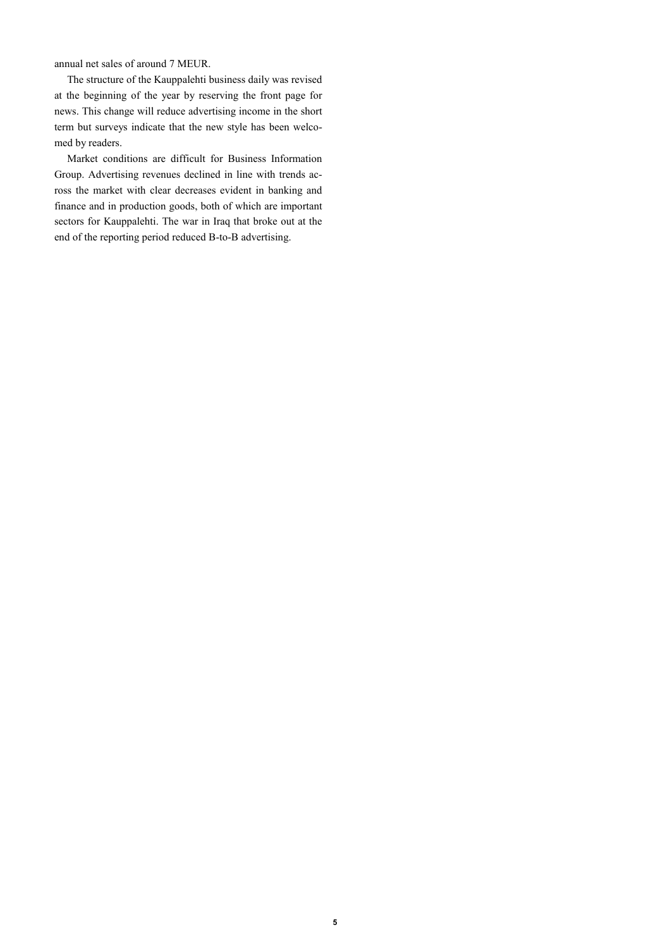annual net sales of around 7 MEUR.

The structure of the Kauppalehti business daily was revised at the beginning of the year by reserving the front page for news. This change will reduce advertising income in the short term but surveys indicate that the new style has been welcomed by readers.

Market conditions are difficult for Business Information Group. Advertising revenues declined in line with trends across the market with clear decreases evident in banking and finance and in production goods, both of which are important sectors for Kauppalehti. The war in Iraq that broke out at the end of the reporting period reduced B-to-B advertising.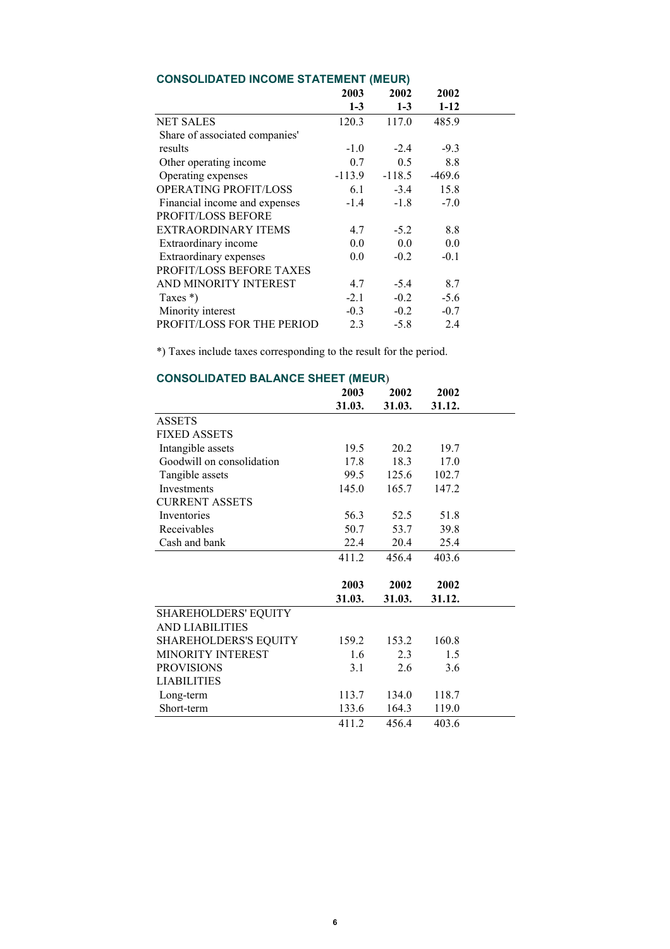|                                 | 2003     | 2002     | 2002     |
|---------------------------------|----------|----------|----------|
|                                 | $1 - 3$  | $1 - 3$  | $1-12$   |
| <b>NET SALES</b>                | 120.3    | 117.0    | 485.9    |
| Share of associated companies'  |          |          |          |
| results                         | $-1.0$   | $-2.4$   | $-9.3$   |
| Other operating income          | 0.7      | 0.5      | 8.8      |
| Operating expenses              | $-113.9$ | $-118.5$ | $-469.6$ |
| <b>OPERATING PROFIT/LOSS</b>    | 6.1      | $-3.4$   | 15.8     |
| Financial income and expenses   | $-1.4$   | $-1.8$   | $-7.0$   |
| PROFIT/LOSS BEFORE              |          |          |          |
| EXTRAORDINARY ITEMS             | 4.7      | $-5.2$   | 8.8      |
| Extraordinary income            | 0.0      | 0.0      | 0.0      |
| Extraordinary expenses          | 0.0      | $-0.2$   | $-0.1$   |
| <b>PROFIT/LOSS BEFORE TAXES</b> |          |          |          |
| AND MINORITY INTEREST           | 4.7      | $-5.4$   | 8.7      |
| Taxes $*)$                      | $-2.1$   | $-0.2$   | $-5.6$   |
| Minority interest               | $-0.3$   | $-0.2$   | $-0.7$   |
| PROFIT/LOSS FOR THE PERIOD      | 2.3      | $-5.8$   | 2.4      |

## **CONSOLIDATED INCOME STATEMENT (MEUR)**

\*) Taxes include taxes corresponding to the result for the period.

| CONSOLIDATED BALANCE SITELT (MEON) |        |        |  |  |
|------------------------------------|--------|--------|--|--|
| 2003                               | 2002   | 2002   |  |  |
| 31.03.                             | 31.03. | 31.12. |  |  |
|                                    |        |        |  |  |
|                                    |        |        |  |  |
| 19.5                               | 20.2   | 19.7   |  |  |
| 17.8                               | 18.3   | 17.0   |  |  |
| 99.5                               | 125.6  | 102.7  |  |  |
| 145.0                              | 165.7  | 147.2  |  |  |
|                                    |        |        |  |  |
| 56.3                               | 52.5   | 51.8   |  |  |
| 50.7                               | 53.7   | 39.8   |  |  |
| 22.4                               | 20.4   | 25.4   |  |  |
| 411.2                              | 456.4  | 403.6  |  |  |
|                                    |        |        |  |  |
| 2003                               | 2002   | 2002   |  |  |
| 31.03.                             | 31.03. | 31.12. |  |  |
|                                    |        |        |  |  |
|                                    |        |        |  |  |
| 159.2                              | 153.2  | 160.8  |  |  |
| 1.6                                | 2.3    | 1.5    |  |  |
| 3.1                                | 2.6    | 3.6    |  |  |
|                                    |        |        |  |  |
| 113.7                              | 134.0  | 118.7  |  |  |
| 133.6                              | 164.3  | 119.0  |  |  |
| 411.2                              | 456.4  | 403.6  |  |  |
|                                    |        |        |  |  |

# **CONSOLIDATED BALANCE SHEET (MEUR**)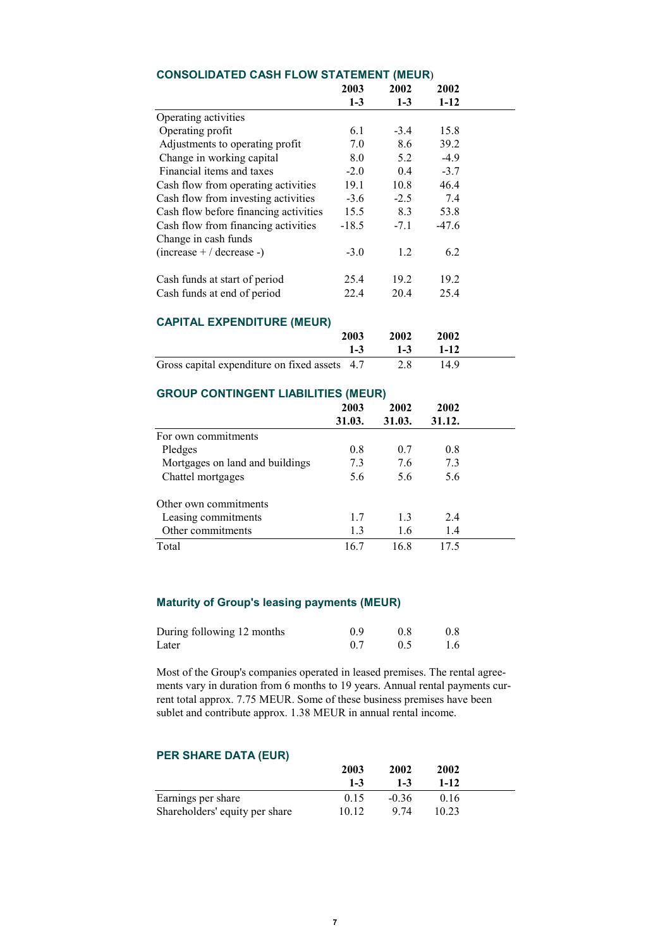|                                           | 2003    | 2002    | 2002    |
|-------------------------------------------|---------|---------|---------|
|                                           | $1 - 3$ | $1-3$   | $1-12$  |
| Operating activities                      |         |         |         |
| Operating profit                          | 6.1     | $-3.4$  | 15.8    |
| Adjustments to operating profit           | 7.0     | 8.6     | 39.2    |
| Change in working capital                 | 8.0     | 5.2     | $-4.9$  |
| Financial items and taxes                 | $-2.0$  | $0.4\,$ | $-3.7$  |
| Cash flow from operating activities       | 19.1    | 10.8    | 46.4    |
| Cash flow from investing activities       | $-3.6$  | $-2.5$  | 7.4     |
| Cash flow before financing activities     | 15.5    | 8.3     | 53.8    |
| Cash flow from financing activities       | $-18.5$ | $-7.1$  | $-47.6$ |
| Change in cash funds                      |         |         |         |
| $(increase + / decrease -)$               | $-3.0$  | 1.2     | 6.2     |
| Cash funds at start of period             | 25.4    | 19.2    | 19.2    |
| Cash funds at end of period               | 22.4    | 20.4    | 25.4    |
| <b>CAPITAL EXPENDITURE (MEUR)</b>         |         |         |         |
|                                           | 2003    | 2002    | 2002    |
|                                           | $1 - 3$ | $1-3$   | $1-12$  |
| Gross capital expenditure on fixed assets | 4.7     | 2.8     | 14.9    |

## **CONSOLIDATED CASH FLOW STATEMENT (MEUR**)

## **GROUP CONTINGENT LIABILITIES (MEUR)**

|                                 | 2003   | 2002   | 2002   |  |
|---------------------------------|--------|--------|--------|--|
|                                 | 31.03. | 31.03. | 31.12. |  |
| For own commitments             |        |        |        |  |
| Pledges                         | 0.8    | 0.7    | 0.8    |  |
| Mortgages on land and buildings | 7.3    | 7.6    | 7.3    |  |
| Chattel mortgages               | 5.6    | 5.6    | 5.6    |  |
| Other own commitments           |        |        |        |  |
| Leasing commitments             | 17     | 13     | 2.4    |  |
| Other commitments               | 1.3    | 1.6    | 1.4    |  |
| Total                           | 16.7   | 16.8   | 17.5   |  |

## **Maturity of Group's leasing payments (MEUR)**

| During following 12 months | 09  | 0 X   | 0.8 |
|----------------------------|-----|-------|-----|
| Later                      | 0.7 | - 0.5 | 1.6 |

Most of the Group's companies operated in leased premises. The rental agreements vary in duration from 6 months to 19 years. Annual rental payments current total approx. 7.75 MEUR. Some of these business premises have been sublet and contribute approx. 1.38 MEUR in annual rental income.

# **PER SHARE DATA (EUR)**

|                                | 2003    | 2002    | 2002   |  |
|--------------------------------|---------|---------|--------|--|
|                                | $1 - 3$ | $1-3$   | $1-12$ |  |
| Earnings per share             | 0.15    | $-0.36$ | 016    |  |
| Shareholders' equity per share | 10 12   | 9 74    | 10.23  |  |